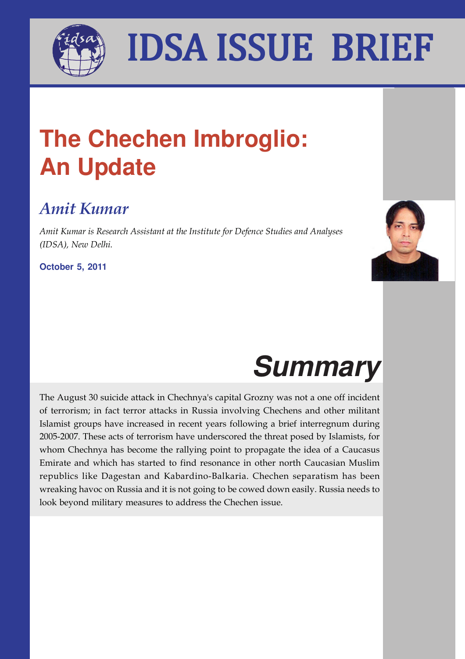

## I A<sup>rger</sup> Insa Issie Brief Bri IDSA ISSUE BRIEF

## **The Chechen Imbroglio: An Update**

### *Amit Kumar*

*Amit Kumar is Research Assistant at the Institute for Defence Studies and Analyses (IDSA), New Delhi.*

**October 5, 2011**



# **Summary**

The August 30 suicide attack in Chechnya's capital Grozny was not a one off incident of terrorism; in fact terror attacks in Russia involving Chechens and other militant Islamist groups have increased in recent years following a brief interregnum during 2005-2007. These acts of terrorism have underscored the threat posed by Islamists, for whom Chechnya has become the rallying point to propagate the idea of a Caucasus Emirate and which has started to find resonance in other north Caucasian Muslim republics like Dagestan and Kabardino-Balkaria. Chechen separatism has been wreaking havoc on Russia and it is not going to be cowed down easily. Russia needs to look beyond military measures to address the Chechen issue.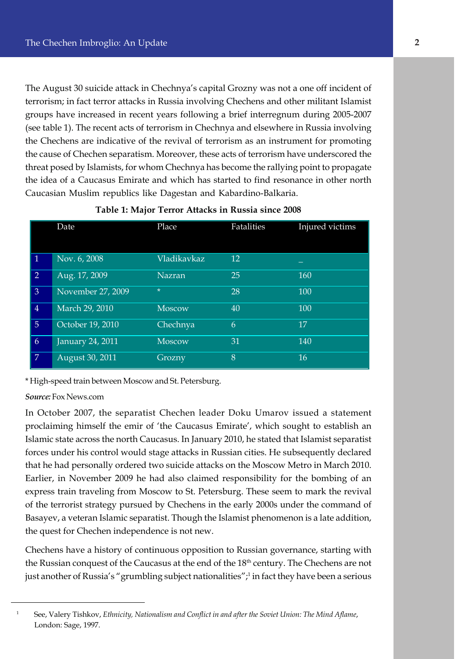the cause of Chechen separatism. Moreover, these acts of terrorism have underscored the The August 30 suicide attack in Chechnya's capital Grozny was not a one off incident of terrorism; in fact terror attacks in Russia involving Chechens and other militant Islamist groups have increased in recent years following a brief interregnum during 2005-2007 (see table 1). The recent acts of terrorism in Chechnya and elsewhere in Russia involving the Chechens are indicative of the revival of terrorism as an instrument for promoting threat posed by Islamists, for whom Chechnya has become the rallying point to propagate the idea of a Caucasus Emirate and which has started to find resonance in other north Caucasian Muslim republics like Dagestan and Kabardino-Balkaria.

|                | Date              | Place         | Fatalities | Injured victims |
|----------------|-------------------|---------------|------------|-----------------|
| $\mathbf{1}$   | Nov. 6, 2008      | Vladikavkaz   | 12         |                 |
| $\overline{2}$ | Aug. 17, 2009     | <b>Nazran</b> | 25         | 160             |
| $\overline{3}$ | November 27, 2009 | $\star$       | 28         | 100             |
| $\overline{4}$ | March 29, 2010    | <b>Moscow</b> | 40         | 100             |
| 5 <sup>5</sup> | October 19, 2010  | Chechnya      | 6          | 17              |
| 6              | January 24, 2011  | <b>Moscow</b> | 31         | 140             |
| 7              | August 30, 2011   | Grozny        | 8          | 16              |

### **Table 1: Major Terror Attacks in Russia since 2008**

\* High-speed train between Moscow and St. Petersburg.

*Source:* Fox News.com

In October 2007, the separatist Chechen leader Doku Umarov issued a statement proclaiming himself the emir of 'the Caucasus Emirate', which sought to establish an Islamic state across the north Caucasus. In January 2010, he stated that Islamist separatist forces under his control would stage attacks in Russian cities. He subsequently declared that he had personally ordered two suicide attacks on the Moscow Metro in March 2010. Earlier, in November 2009 he had also claimed responsibility for the bombing of an express train traveling from Moscow to St. Petersburg. These seem to mark the revival of the terrorist strategy pursued by Chechens in the early 2000s under the command of Basayev, a veteran Islamic separatist. Though the Islamist phenomenon is a late addition, the quest for Chechen independence is not new.

Chechens have a history of continuous opposition to Russian governance, starting with the Russian conquest of the Caucasus at the end of the 18<sup>th</sup> century. The Chechens are not just another of Russia's "grumbling subject nationalities";<sup>1</sup> in fact they have been a serious

<sup>1</sup> See, Valery Tishkov, *Ethnicity, Nationalism and Conflict in and after the Soviet Union: The Mind Aflame*, London: Sage, 1997.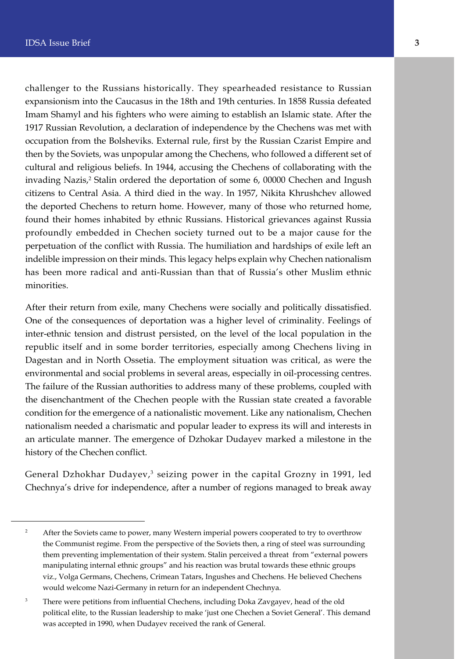challenger to the Russians historically. They spearheaded resistance to Russian expansionism into the Caucasus in the 18th and 19th centuries. In 1858 Russia defeated Imam Shamyl and his fighters who were aiming to establish an Islamic state. After the 1917 Russian Revolution, a declaration of independence by the Chechens was met with occupation from the Bolsheviks. External rule, first by the Russian Czarist Empire and then by the Soviets, was unpopular among the Chechens, who followed a different set of cultural and religious beliefs. In 1944, accusing the Chechens of collaborating with the invading Nazis,<sup>2</sup> Stalin ordered the deportation of some 6, 00000 Chechen and Ingush citizens to Central Asia. A third died in the way. In 1957, Nikita Khrushchev allowed the deported Chechens to return home. However, many of those who returned home, found their homes inhabited by ethnic Russians. Historical grievances against Russia profoundly embedded in Chechen society turned out to be a major cause for the perpetuation of the conflict with Russia. The humiliation and hardships of exile left an indelible impression on their minds. This legacy helps explain why Chechen nationalism has been more radical and anti-Russian than that of Russia's other Muslim ethnic minorities.

After their return from exile, many Chechens were socially and politically dissatisfied. One of the consequences of deportation was a higher level of criminality. Feelings of inter-ethnic tension and distrust persisted, on the level of the local population in the republic itself and in some border territories, especially among Chechens living in Dagestan and in North Ossetia. The employment situation was critical, as were the environmental and social problems in several areas, especially in oil-processing centres. The failure of the Russian authorities to address many of these problems, coupled with the disenchantment of the Chechen people with the Russian state created a favorable condition for the emergence of a nationalistic movement. Like any nationalism, Chechen nationalism needed a charismatic and popular leader to express its will and interests in an articulate manner. The emergence of Dzhokar Dudayev marked a milestone in the history of the Chechen conflict.

General Dzhokhar Dudayev, $^3$  seizing power in the capital Grozny in 1991, led Chechnya's drive for independence, after a number of regions managed to break away

<sup>&</sup>lt;sup>2</sup> After the Soviets came to power, many Western imperial powers cooperated to try to overthrow the Communist regime. From the perspective of the Soviets then, a ring of steel was surrounding them preventing implementation of their system. Stalin perceived a threat from "external powers manipulating internal ethnic groups" and his reaction was brutal towards these ethnic groups viz., Volga Germans, Chechens, Crimean Tatars, Ingushes and Chechens. He believed Chechens would welcome Nazi-Germany in return for an independent Chechnya.

<sup>&</sup>lt;sup>3</sup> There were petitions from influential Chechens, including Doka Zavgayev, head of the old political elite, to the Russian leadership to make 'just one Chechen a Soviet General'. This demand was accepted in 1990, when Dudayev received the rank of General.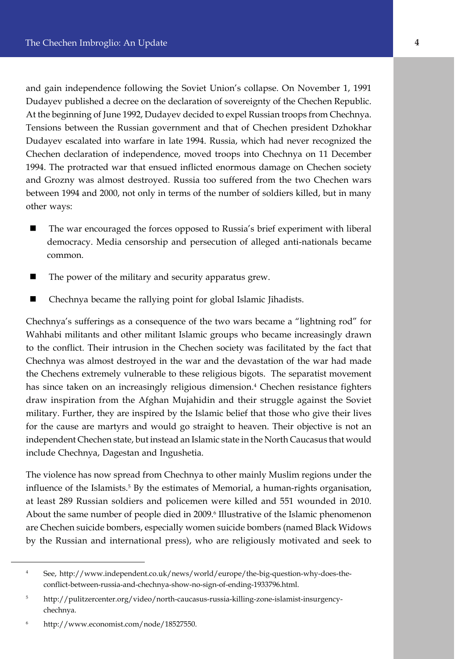Chechen declaration of independence, moved troops into Chechnya on 11 December and gain independence following the Soviet Union's collapse. On November 1, 1991 Dudayev published a decree on the declaration of sovereignty of the Chechen Republic. At the beginning of June 1992, Dudayev decided to expel Russian troops from Chechnya. Tensions between the Russian government and that of Chechen president Dzhokhar Dudayev escalated into warfare in late 1994. Russia, which had never recognized the 1994. The protracted war that ensued inflicted enormous damage on Chechen society and Grozny was almost destroyed. Russia too suffered from the two Chechen wars between 1994 and 2000, not only in terms of the number of soldiers killed, but in many other ways:

- $\blacksquare$  The war encouraged the forces opposed to Russia's brief experiment with liberal democracy. Media censorship and persecution of alleged anti-nationals became common.
- The power of the military and security apparatus grew.
- n Chechnya became the rallying point for global Islamic Jihadists.

Chechnya's sufferings as a consequence of the two wars became a "lightning rod" for Wahhabi militants and other militant Islamic groups who became increasingly drawn to the conflict. Their intrusion in the Chechen society was facilitated by the fact that Chechnya was almost destroyed in the war and the devastation of the war had made the Chechens extremely vulnerable to these religious bigots. The separatist movement has since taken on an increasingly religious dimension.<sup>4</sup> Chechen resistance fighters draw inspiration from the Afghan Mujahidin and their struggle against the Soviet military. Further, they are inspired by the Islamic belief that those who give their lives for the cause are martyrs and would go straight to heaven. Their objective is not an independent Chechen state, but instead an Islamic state in the North Caucasus that would include Chechnya, Dagestan and Ingushetia.

The violence has now spread from Chechnya to other mainly Muslim regions under the influence of the Islamists.<sup>5</sup> By the estimates of Memorial, a human-rights organisation, at least 289 Russian soldiers and policemen were killed and 551 wounded in 2010. About the same number of people died in 2009.<sup>6</sup> Illustrative of the Islamic phenomenon are Chechen suicide bombers, especially women suicide bombers (named Black Widows by the Russian and international press), who are religiously motivated and seek to

<sup>4</sup> See, http://www.independent.co.uk/news/world/europe/the-big-question-why-does-theconflict-between-russia-and-chechnya-show-no-sign-of-ending-1933796.html.

<sup>5</sup> http://pulitzercenter.org/video/north-caucasus-russia-killing-zone-islamist-insurgencychechnya.

<sup>6</sup> http://www.economist.com/node/18527550.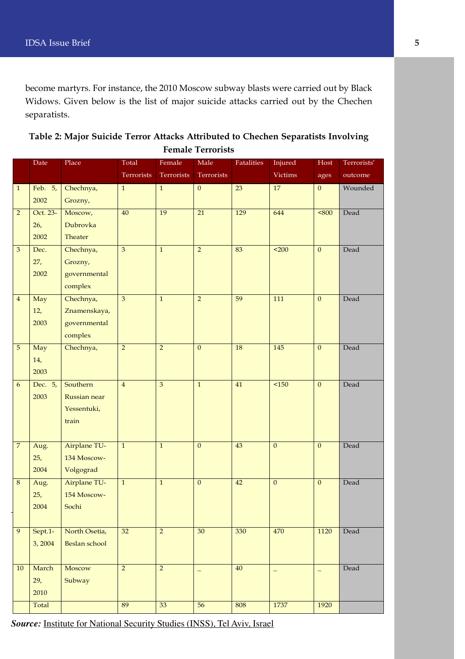become martyrs. For instance, the 2010 Moscow subway blasts were carried out by Black Widows. Given below is the list of major suicide attacks carried out by the Chechen separatists.

| Table 2: Major Suicide Terror Attacks Attributed to Chechen Separatists Involving |  |
|-----------------------------------------------------------------------------------|--|
| <b>Female Terrorists</b>                                                          |  |

|                  | Date               | Place                          | Total           | Female         | Male              | <b>Fatalities</b> | Injured           | Host           | Terrorists' |
|------------------|--------------------|--------------------------------|-----------------|----------------|-------------------|-------------------|-------------------|----------------|-------------|
|                  |                    |                                | Terrorists      | Terrorists     | Terrorists        |                   | <b>Victims</b>    | ages           | outcome     |
| $\mathbf{1}$     | Feb. 5,            | Chechnya,                      | $\mathbf{1}$    | $\mathbf 1$    | $\mathbf{0}$      | 23                | $17\,$            | $\overline{0}$ | Wounded     |
|                  | 2002               | Grozny,                        |                 |                |                   |                   |                   |                |             |
| $\overline{2}$   | Oct. 23-           | Moscow,                        | $\overline{40}$ | 19             | $\overline{21}$   | 129               | 644               | 5800           | Dead        |
|                  | 26,                | Dubrovka                       |                 |                |                   |                   |                   |                |             |
|                  | 2002               | Theater                        |                 |                |                   |                   |                   |                |             |
| $\mathfrak{B}$   | Dec.               | Chechnya,                      | $\overline{3}$  | $\overline{1}$ | $\overline{2}$    | 83                | $\overline{200}$  | $\overline{0}$ | Dead        |
|                  | 27,                | Grozny,                        |                 |                |                   |                   |                   |                |             |
|                  | 2002               | governmental                   |                 |                |                   |                   |                   |                |             |
|                  |                    | complex                        |                 |                |                   |                   |                   |                |             |
| $\overline{4}$   | May                | Chechnya,                      | 3               | $\mathbf 1$    | $\overline{2}$    | 59                | 111               | $\mathbf{0}$   | Dead        |
|                  | 12,                | Znamenskaya,                   |                 |                |                   |                   |                   |                |             |
|                  | 2003               | governmental                   |                 |                |                   |                   |                   |                |             |
|                  |                    | complex                        |                 |                |                   |                   |                   |                |             |
| $\sqrt{5}$       | May                | Chechnya,                      | $\overline{2}$  | $\overline{2}$ | $\mathbf{0}$      | 18                | 145               | $\mathbf{0}$   | Dead        |
|                  | 14,                |                                |                 |                |                   |                   |                   |                |             |
|                  | 2003               |                                |                 |                |                   |                   |                   |                |             |
| $\boldsymbol{6}$ | Dec. 5,            | Southern                       | $\overline{4}$  | $\overline{3}$ | $\mathbf{1}$      | 41                | $\overline{50}$   | $\mathbf{0}$   | Dead        |
|                  | 2003               | Russian near                   |                 |                |                   |                   |                   |                |             |
|                  |                    | Yessentuki,                    |                 |                |                   |                   |                   |                |             |
|                  |                    | train                          |                 |                |                   |                   |                   |                |             |
|                  |                    |                                |                 |                |                   |                   |                   |                |             |
| $\overline{7}$   | Aug.               | Airplane TU-                   | $\mathbf 1$     | $\mathbf{1}$   | $\mathbf{0}$      | 43                | $\mathbf{0}$      | $\mathbf{0}$   | Dead        |
|                  | 25,                | 134 Moscow-                    |                 |                |                   |                   |                   |                |             |
|                  | 2004               | Volgograd                      |                 |                |                   |                   |                   |                |             |
| $\,$ 8 $\,$      | Aug.               | Airplane TU-                   | $\,1\,$         | $\mathbf 1$    | $\mathbf{0}$      | 42                | $\mathbf{0}$      | $\mathbf{0}$   | Dead        |
|                  | 25,                | 154 Moscow-                    |                 |                |                   |                   |                   |                |             |
|                  | 2004               | Sochi                          |                 |                |                   |                   |                   |                |             |
| $\overline{9}$   |                    |                                | $\overline{32}$ | $\overline{2}$ | $\overline{30}$   | 330               | 470               | 1120           | Dead        |
|                  | Sept.1-<br>3, 2004 | North Osetia,<br>Beslan school |                 |                |                   |                   |                   |                |             |
|                  |                    |                                |                 |                |                   |                   |                   |                |             |
| 10               | March              | Moscow                         | $\overline{2}$  | $\overline{2}$ |                   | $40\,$            |                   |                | Dead        |
|                  | 29,                | Subway                         |                 |                | $\qquad \qquad -$ |                   | $\qquad \qquad -$ | $\equiv$       |             |
|                  | 2010               |                                |                 |                |                   |                   |                   |                |             |
|                  | Total              |                                | 89              | 33             | $\overline{56}$   | 808               | 1737              | 1920           |             |
|                  |                    |                                |                 |                |                   |                   |                   |                |             |

*Source:* Institute for National Security Studies (INSS), Tel Aviv, Israel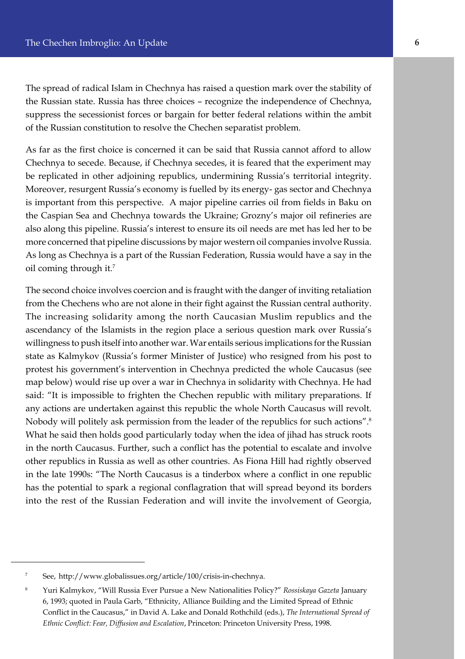The spread of radical Islam in Chechnya has raised a question mark over the stability of the Russian state. Russia has three choices – recognize the independence of Chechnya, suppress the secessionist forces or bargain for better federal relations within the ambit of the Russian constitution to resolve the Chechen separatist problem.

As far as the first choice is concerned it can be said that Russia cannot afford to allow Chechnya to secede. Because, if Chechnya secedes, it is feared that the experiment may be replicated in other adjoining republics, undermining Russia's territorial integrity. Moreover, resurgent Russia's economy is fuelled by its energy- gas sector and Chechnya is important from this perspective. A major pipeline carries oil from fields in Baku on the Caspian Sea and Chechnya towards the Ukraine; Grozny's major oil refineries are also along this pipeline. Russia's interest to ensure its oil needs are met has led her to be more concerned that pipeline discussions by major western oil companies involve Russia. As long as Chechnya is a part of the Russian Federation, Russia would have a say in the oil coming through it.<sup>7</sup>

The second choice involves coercion and is fraught with the danger of inviting retaliation from the Chechens who are not alone in their fight against the Russian central authority. The increasing solidarity among the north Caucasian Muslim republics and the ascendancy of the Islamists in the region place a serious question mark over Russia's willingness to push itself into another war. War entails serious implications for the Russian state as Kalmykov (Russia's former Minister of Justice) who resigned from his post to protest his government's intervention in Chechnya predicted the whole Caucasus (see map below) would rise up over a war in Chechnya in solidarity with Chechnya. He had said: "It is impossible to frighten the Chechen republic with military preparations. If any actions are undertaken against this republic the whole North Caucasus will revolt. Nobody will politely ask permission from the leader of the republics for such actions".<sup>8</sup> What he said then holds good particularly today when the idea of jihad has struck roots in the north Caucasus. Further, such a conflict has the potential to escalate and involve other republics in Russia as well as other countries. As Fiona Hill had rightly observed in the late 1990s: "The North Caucasus is a tinderbox where a conflict in one republic has the potential to spark a regional conflagration that will spread beyond its borders into the rest of the Russian Federation and will invite the involvement of Georgia,

<sup>7</sup> See, http://www.globalissues.org/article/100/crisis-in-chechnya.

<sup>8</sup> Yuri Kalmykov, "Will Russia Ever Pursue a New Nationalities Policy?" *Rossiskaya Gazeta* January 6, 1993; quoted in Paula Garb, "Ethnicity, Alliance Building and the Limited Spread of Ethnic Conflict in the Caucasus," in David A. Lake and Donald Rothchild (eds.), *The International Spread of Ethnic Conflict: Fear, Diffusion and Escalation*, Princeton: Princeton University Press, 1998.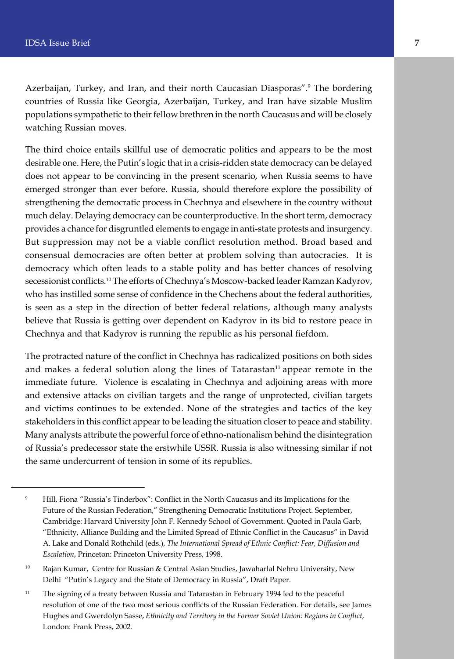Azerbaijan, Turkey, and Iran, and their north Caucasian Diasporas".<sup>9</sup> The bordering countries of Russia like Georgia, Azerbaijan, Turkey, and Iran have sizable Muslim populations sympathetic to their fellow brethren in the north Caucasus and will be closely watching Russian moves.

The third choice entails skillful use of democratic politics and appears to be the most desirable one. Here, the Putin's logic that in a crisis-ridden state democracy can be delayed does not appear to be convincing in the present scenario, when Russia seems to have emerged stronger than ever before. Russia, should therefore explore the possibility of strengthening the democratic process in Chechnya and elsewhere in the country without much delay. Delaying democracy can be counterproductive. In the short term, democracy provides a chance for disgruntled elements to engage in anti-state protests and insurgency. But suppression may not be a viable conflict resolution method. Broad based and consensual democracies are often better at problem solving than autocracies. It is democracy which often leads to a stable polity and has better chances of resolving secessionist conflicts.<sup>10</sup> The efforts of Chechnya's Moscow-backed leader Ramzan Kadyrov, who has instilled some sense of confidence in the Chechens about the federal authorities, is seen as a step in the direction of better federal relations, although many analysts believe that Russia is getting over dependent on Kadyrov in its bid to restore peace in Chechnya and that Kadyrov is running the republic as his personal fiefdom.

The protracted nature of the conflict in Chechnya has radicalized positions on both sides and makes a federal solution along the lines of Tatarastan $<sup>11</sup>$  appear remote in the</sup> immediate future. Violence is escalating in Chechnya and adjoining areas with more and extensive attacks on civilian targets and the range of unprotected, civilian targets and victims continues to be extended. None of the strategies and tactics of the key stakeholders in this conflict appear to be leading the situation closer to peace and stability. Many analysts attribute the powerful force of ethno-nationalism behind the disintegration of Russia's predecessor state the erstwhile USSR. Russia is also witnessing similar if not the same undercurrent of tension in some of its republics.

<sup>&</sup>lt;sup>9</sup> Hill, Fiona "Russia's Tinderbox": Conflict in the North Caucasus and its Implications for the Future of the Russian Federation," Strengthening Democratic Institutions Project. September, Cambridge: Harvard University John F. Kennedy School of Government. Quoted in Paula Garb, "Ethnicity, Alliance Building and the Limited Spread of Ethnic Conflict in the Caucasus" in David A. Lake and Donald Rothchild (eds.), *The International Spread of Ethnic Conflict: Fear, Diffusion and Escalation*, Princeton: Princeton University Press, 1998.

<sup>&</sup>lt;sup>10</sup> Rajan Kumar, Centre for Russian & Central Asian Studies, Jawaharlal Nehru University, New Delhi "Putin's Legacy and the State of Democracy in Russia", Draft Paper.

<sup>&</sup>lt;sup>11</sup> The signing of a treaty between Russia and Tatarastan in February 1994 led to the peaceful resolution of one of the two most serious conflicts of the Russian Federation. For details, see James Hughes and Gwerdolyn Sasse, *Ethnicity and Territory in the Former Soviet Union: Regions in Conflict*, London: Frank Press, 2002.